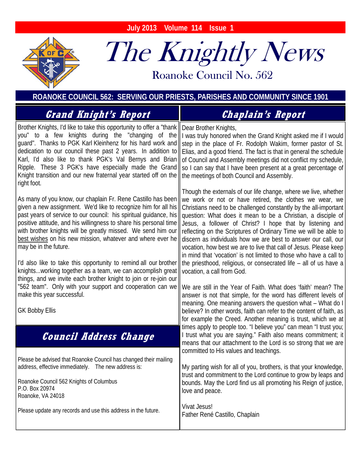**July 2013 Volume 114 Issue 1** 



# The Knightly News

Roanoke Council No. 562 Roanoke Council No. 562

**ROANOKE COUNCIL 562: SERVING OUR PRIESTS, PARISHES AND COMMUNITY SINCE 1901**

| <b><i>Grand Knight's Report</i></b>                                                                                                                                                                                                                                                                                                                                                                                                                                                                                                                                        | <b>Chaplain's Report</b>                                                                                                                                                                                                                                                                                                                                                                                                                                                                                                                                                                                                                                                                                                                                                             |
|----------------------------------------------------------------------------------------------------------------------------------------------------------------------------------------------------------------------------------------------------------------------------------------------------------------------------------------------------------------------------------------------------------------------------------------------------------------------------------------------------------------------------------------------------------------------------|--------------------------------------------------------------------------------------------------------------------------------------------------------------------------------------------------------------------------------------------------------------------------------------------------------------------------------------------------------------------------------------------------------------------------------------------------------------------------------------------------------------------------------------------------------------------------------------------------------------------------------------------------------------------------------------------------------------------------------------------------------------------------------------|
| Brother Knights, I'd like to take this opportunity to offer a "thank   Dear Brother Knights,<br>Knight transition and our new fraternal year started off on the    the meetings of both Council and Assembly.<br>right foot.                                                                                                                                                                                                                                                                                                                                               | you" to a few knights during the "changing of the    I was truly honored when the Grand Knight asked me if I would<br>guard". Thanks to PGK Karl Kleinhenz for his hard work and   step in the place of Fr. Rodolph Wakim, former pastor of St.<br>dedication to our council these past 2 years. In addition to   Elias, and a good friend. The fact is that in general the schedule<br>Karl, I'd also like to thank PGK's Val Bernys and Brian   of Council and Assembly meetings did not conflict my schedule,<br>Ripple. These 3 PGK's have especially made the Grand   so I can say that I have been present at a great percentage of                                                                                                                                            |
| As many of you know, our chaplain Fr. Rene Castillo has been<br>given a new assignment. We'd like to recognize him for all his<br>positive attitude, and his willingness to share his personal time<br>with brother knights will be greatly missed. We send him our   <br><u>best wishes</u> on his new mission, whatever and where ever he<br>may be in the future.<br>I'd also like to take this opportunity to remind all our brother<br>knightsworking together as a team, we can accomplish great<br>things, and we invite each brother knight to join or re-join our | Though the externals of our life change, where we live, whether<br>we work or not or have retired, the clothes we wear, we<br>Christians need to be challenged constantly by the all-important<br>past years of service to our council: his spiritual guidance, his    question: What does it mean to be a Christian, a disciple of<br>Jesus, a follower of Christ? I hope that by listening and<br>reflecting on the Scriptures of Ordinary Time we will be able to<br>discern as individuals how we are best to answer our call, our<br>vocation, how best we are to live that call of Jesus. Please keep<br>in mind that 'vocation' is not limited to those who have a call to<br>the priesthood, religious, or consecrated life - all of us have a<br>vocation, a call from God. |
| "562 team". Only with your support and cooperation can we<br>make this year successful.<br><b>GK Bobby Ellis</b>                                                                                                                                                                                                                                                                                                                                                                                                                                                           | We are still in the Year of Faith. What does 'faith' mean? The<br>answer is not that simple, for the word has different levels of<br>meaning. One meaning answers the question what - What do I<br>believe? In other words, faith can refer to the content of faith, as<br>for example the Creed. Another meaning is trust, which we at                                                                                                                                                                                                                                                                                                                                                                                                                                              |
| <b>Council Address Change</b>                                                                                                                                                                                                                                                                                                                                                                                                                                                                                                                                              | times apply to people too. "I believe you" can mean "I trust you;<br>I trust what you are saying." Faith also means commitment; it<br>means that our attachment to the Lord is so strong that we are<br>committed to His values and teachings.                                                                                                                                                                                                                                                                                                                                                                                                                                                                                                                                       |
| Please be advised that Roanoke Council has changed their mailing<br>address, effective immediately. The new address is:<br>Roanoke Council 562 Knights of Columbus<br>P.O. Box 20974<br>Roanoke, VA 24018                                                                                                                                                                                                                                                                                                                                                                  | My parting wish for all of you, brothers, is that your knowledge,<br>trust and commitment to the Lord continue to grow by leaps and<br>bounds. May the Lord find us all promoting his Reign of justice,<br>love and peace.                                                                                                                                                                                                                                                                                                                                                                                                                                                                                                                                                           |
| Please update any records and use this address in the future.                                                                                                                                                                                                                                                                                                                                                                                                                                                                                                              | Vivat Jesus!<br>Father René Castillo, Chaplain                                                                                                                                                                                                                                                                                                                                                                                                                                                                                                                                                                                                                                                                                                                                       |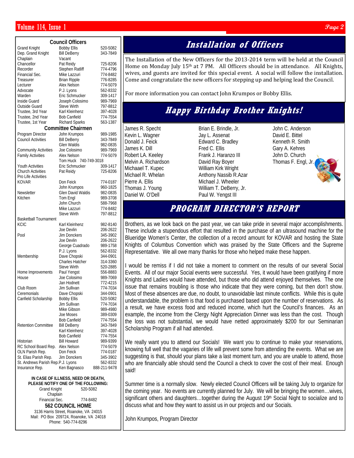#### $V$ olume 114, Issue 1  $\rho_{age}$  2

| <b>Council Officers</b>           |                                       |                      |  |
|-----------------------------------|---------------------------------------|----------------------|--|
| <b>Grand Knight</b>               | <b>Bobby Ellis</b>                    | 520-5082             |  |
| Dep. Grand Knight                 | <b>Bill DeBerry</b>                   | 343-7849             |  |
| Chaplain                          | Vacant                                |                      |  |
| Chancellor                        | Pat Reidy                             | 725-8206             |  |
| Recorder                          | <b>Stephen Ratliff</b>                | 774-4796             |  |
| Financial Sec.                    | Mike Lazzuri                          | 774-8482             |  |
| Treasurer                         | <b>Brian Ripple</b>                   | 776-8285             |  |
| Lecturer                          | Alex Nelson                           | 774-5079             |  |
| Advocate                          | P.J. Lyons                            | 562-8332             |  |
| Warden                            | Eric Schmucker                        | 309-1417             |  |
| Inside Guard                      | Joseph Colosimo                       | 989-7969             |  |
| Outside Guard                     | Steve Wirth                           | 797-8812             |  |
| Trustee, 3rd Year                 | Karl Kleinhenz                        | 397-4028             |  |
| Trustee, 2nd Year                 | <b>Bob Canfield</b>                   | 774-7554             |  |
| Trustee, 1st Year                 | Richard Sparks                        | 563-1387             |  |
|                                   | <b>Committee Chairmen</b>             |                      |  |
| Program Director                  | John Krumpos                          | 989-1985             |  |
| <b>Council Activities</b>         | <b>Bill DeBerry</b>                   | 343-7849             |  |
|                                   | Glen Waldis                           | 982-0835             |  |
| <b>Community Activities</b>       | Joe Colosimo                          | 989-7969             |  |
| <b>Family Activities</b>          | Alex Nelson                           | 774-5079             |  |
|                                   | Tom Huck 740-749-3018                 |                      |  |
| Youth Activities                  | Eric Schmucker                        | 309-1417             |  |
| <b>Church Activities</b>          | Pat Reidy                             | 725-8206             |  |
| Pro Life Activities               |                                       |                      |  |
| <b>KOVAR</b>                      | Don Feick                             | 774-0187             |  |
|                                   | John Krumpos                          | 960-1825             |  |
| Newsletter                        | Glen David Waldis                     | 982-0835             |  |
| Kitchen                           | Tom Engl                              | 989-3708             |  |
|                                   | John Church                           | 588-7968             |  |
|                                   | Mike Lazzuri<br><b>Steve Wirth</b>    | 774-8482<br>797-8812 |  |
| <b>Basketball Tournament</b>      |                                       |                      |  |
| <b>KCIC</b>                       | Karl Kleinhenz                        | 982-8140             |  |
|                                   | Joe Devlin                            | 206-2622             |  |
| Pool                              | Jim Donckers                          | 345-3902             |  |
|                                   | Joe Devlin                            | 206-2622             |  |
|                                   | George Cuadrado                       | 989-1758             |  |
|                                   | P.J. Lyons                            | 562-8332             |  |
| Membership                        | Dave Chopski                          | 344-0901             |  |
|                                   | <b>Charles Hatcher</b>                | 314-3360             |  |
|                                   | <b>Steve Wirth</b>                    | 520-2885             |  |
| Home Improvements                 | Paul Yengst                           | 556-8883             |  |
| House                             | Joe Colosimo                          | 989-7069             |  |
|                                   | Jan Hodnett                           | 772-4215             |  |
| Club Room                         | Jim Sullivan                          | 774-7034             |  |
| Ceremonials                       | Dave Chopski                          | 344-0901             |  |
| Canfield Scholarship              | <b>Bobby Ellis</b>                    | 520-5082             |  |
|                                   | Jim Sullivan                          | 774-7034             |  |
|                                   | Mike Gibson                           | 989-4980             |  |
|                                   | <b>Joe Moses</b>                      | 389-0309             |  |
| <b>Retention Committee</b>        | <b>Bob Canfield</b>                   | 774-7554             |  |
|                                   | <b>Bill DeBerry</b><br>Karl Kleinhenz | 343-7849             |  |
|                                   | <b>Bob Canfield</b>                   | 397-4028<br>774-7554 |  |
| Historian                         | <b>Bill Howard</b>                    | 989-9399             |  |
| RC School Board Rep.              | Alex Nelson                           | 774-5079             |  |
| OLN Parish Rep.                   | Don Feick                             | 774-0187             |  |
| St. Elias Parish Rep.             | Jim Donckers                          | 345-3902             |  |
| St. Andrews Parish Rep.P.J. Lyons |                                       | 562-8332             |  |
| Insurance Rep.                    | Ken Bagnasco                          | 888-211-9478         |  |

**IN CASE OF ILLNESS, NEED OR DEATH,** 

**PLEASE NOTIFY ONE OF THE FOLLOWING:**  Grand Knight 520-5082 **Chaplain** Financial Sec. 774-8482 **562 COUNCIL HOME**  3136 Harris Street, Roanoke, VA 24015 Mail: PO Box 209724, Roanoke, VA 24018 Phone: 540-774-8296

### **Installation of Officers**

The Installation of the New Officers for the 2013-2014 term will be held at the Council Home on Monday July  $15<sup>th</sup>$  at 7 PM. All Officers should be in attendance. All Knights, wives, and guests are invited for this special event. A social will follow the installation. Come and congratulate the new officers for stepping up and helping lead the Council.

For more information you can contact John Krumpos or Bobby Ellis.

## **Happy Birthday Brother Knights!**

James R. Specht Kevin L. Wagner Donald J. Feick James K. Dill Robert LA. Keeley Melvin A. Richardson Michaael T. Kupec Michael R. Whelan Pierre A. Ellis Thomas J. Young Daniel W. O'Dell

Brian E. Brindle, Jr. Jay L. Assenat Edward C. Bradley Fred C. Ellis Frank J. Haranzo III David Ray Boyer William Kirk Wright Anthony Nassib R.Azar Michael J. Wheeler William T. DeBerry, Jr. Paul W. Yengst III

John C. Anderson David E. Bittel Kenneth R. Smith Gary A. Kehres John D. Church Thomas F. Engl, Jr.

#### **PROGRAM DIRECTOR'S REPORT**

Brothers, as we look back on the past year, we can take pride in several major accomplishments. These include a stupendous effort that resulted in the purchase of an ultrasound machine for the Blueridge Women's Center, the collection of a record amount for KOVAR and hosting the State Knights of Columbus Convention which was praised by the State Officers and the Supreme Representative. We all owe many thanks for those who helped make these happen.

I would be remiss if I did not take a moment to comment on the results of our several Social Events. All of our major Social events were successful. Yes, it would have been gratifying if more Knights and Ladies would have attended, but those who did attend enjoyed themselves. The one issue that remains troubling is those who indicate that they were coming, but then don't show. Most of these absences are due, no doubt, to unavoidable last minute conflicts. While this is quite understandable, the problem is that food is purchased based upon the number of reservations. As a result, we have excess food and reduced income, which hurt the Council's finances. As an example, the income from the Clergy Night Appreciation Dinner was less than the cost. Though the loss was not substantial, we would have netted approximately \$200 for our Seminarian Scholarship Program if all had attended.

We really want you to attend our Socials! We want you to continue to make your reservations, knowing full well that the vagaries of life will prevent some from attending the events. What we are suggesting is that, should your plans take a last moment turn, and you are unable to attend, those who are financially able should send the Council a check to cover the cost of their meal. Enough said!

Summer time is a normally slow. Newly elected Council Officers will be taking July to organize for the coming year. No events are currently planned for July. We will be bringing the women…wives, significant others and daughters...together during the August 19<sup>th</sup> Social Night to socialize and to discuss what and how they want to assist us in our projects and our Socials.

John Krumpos, Program Director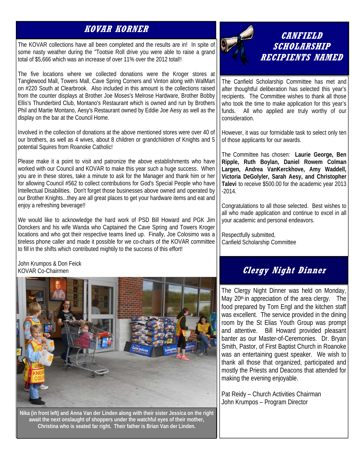#### **KOVAR KORNER**

The KOVAR collections have all been completed and the results are in! In spite of some nasty weather during the "Tootsie Roll drive you were able to raise a grand total of \$5,666 which was an increase of over 11% over the 2012 total!!

The five locations where we collected donations were the Kroger stores at Tanglewood Mall, Towers Mall, Cave Spring Corners and Vinton along with WalMart on #220 South at Clearbrook. Also included in this amount is the collections raised from the counter displays at Brother Joe Moses's Melrose Hardware, Brother Bobby Ellis's Thunderbird Club, Montano's Restaurant which is owned and run by Brothers Phil and Martie Montano, Aesy's Restaurant owned by Eddie Joe Aesy as well as the display on the bar at the Council Home.

Involved in the collection of donations at the above mentioned stores were over 40 of our brothers, as well as 4 wives, about 8 children or grandchildren of Knights and 5 potential Squires from Roanoke Catholic!

Please make it a point to visit and patronize the above establishments who have worked with our Council and KOVAR to make this year such a huge success. When you are in these stores, take a minute to ask for the Manager and thank him or her for allowing Council #562 to collect contributions for God's Special People who have Intellectual Disabilities. Don't forget those businesses above owned and operated by our Brother Knights...they are all great places to get your hardware items and eat and enjoy a refreshing beverage!!

We would like to acknowledge the hard work of PSD Bill Howard and PGK Jim Donckers and his wife Wanda who Captained the Cave Spring and Towers Kroger locations and who got their respective teams lined up. Finally, Joe Colosimo was a tireless phone caller and made it possible for we co-chairs of the KOVAR committee to fill in the shifts which contributed mightily to the success of this effort!

John Krumpos & Don Feick KOVAR Co-Chairmen



**Nika (in front left) and Anna Van der Linden along with their sister Jessica on the right await the next onslaught of shoppers under the watchful eyes of their mother, Christina who is seated far right. Their father is Brian Van der Linden.** 



#### **CANFIELD SCHOLARSHIP RECIPIENTS NAMED**

The Canfield Scholarship Committee has met and after thoughtful deliberation has selected this year's recipients. The Committee wishes to thank all those who took the time to make application for this year's funds. All who applied are truly worthy of our consideration.

However, it was our formidable task to select only ten of those applicants for our awards.

The Committee has chosen: **Laurie George, Ben Ripple, Ruth Boylan, Daniel Rowem Colman Largen, Andrea VanKerckhove, Amy Waddell, Victoria DeGolyler, Sarah Aesy, and Christopher Talevi** to receive \$500.00 for the academic year 2013  $-2014.$ 

Congratulations to all those selected. Best wishes to all who made application and continue to excel in all your academic and personal endeavors.

Respectfully submitted, Canfield Scholarship Committee

#### **Clergy Night Dinner**

The Clergy Night Dinner was held on Monday, May  $20<sup>th</sup>$  in appreciation of the area clergy. The food prepared by Tom Engl and the kitchen staff was excellent. The service provided in the dining room by the St Elias Youth Group was prompt and attentive. Bill Howard provided pleasant banter as our Master-of-Ceremonies. Dr. Bryan Smith, Pastor, of First Baptist Church in Roanoke was an entertaining guest speaker. We wish to thank all those that organized, participated and mostly the Priests and Deacons that attended for making the evening enjoyable.

Pat Reidy – Church Activities Chairman John Krumpos – Program Director